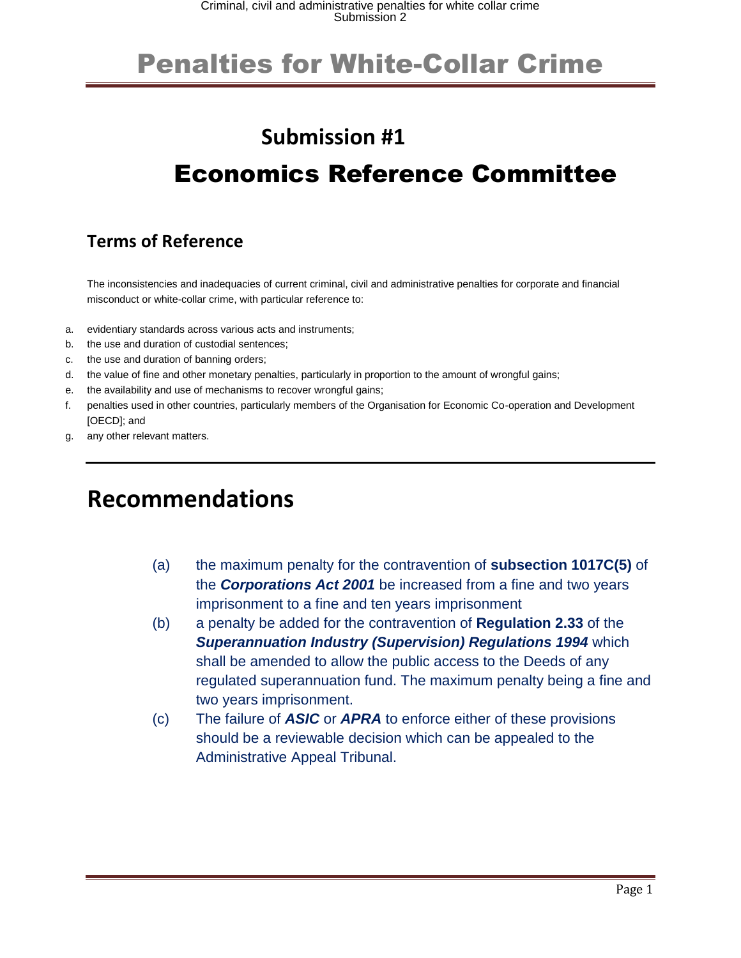#### **Submission #1**

#### Economics Reference Committee

#### **Terms of Reference**

The inconsistencies and inadequacies of current criminal, civil and administrative penalties for corporate and financial misconduct or white-collar crime, with particular reference to:

- a. evidentiary standards across various acts and instruments;
- b. the use and duration of custodial sentences;
- c. the use and duration of banning orders;
- d. the value of fine and other monetary penalties, particularly in proportion to the amount of wrongful gains;
- e. the availability and use of mechanisms to recover wrongful gains;
- f. penalties used in other countries, particularly members of the Organisation for Economic Co-operation and Development [OECD]; and
- g. any other relevant matters.

#### **Recommendations**

- (a) the maximum penalty for the contravention of **subsection 1017C(5)** of the *Corporations Act 2001* be increased from a fine and two years imprisonment to a fine and ten years imprisonment
- (b) a penalty be added for the contravention of **Regulation 2.33** of the *Superannuation Industry (Supervision) Regulations 1994* which shall be amended to allow the public access to the Deeds of any regulated superannuation fund. The maximum penalty being a fine and two years imprisonment.
- (c) The failure of *ASIC* or *APRA* to enforce either of these provisions should be a reviewable decision which can be appealed to the Administrative Appeal Tribunal.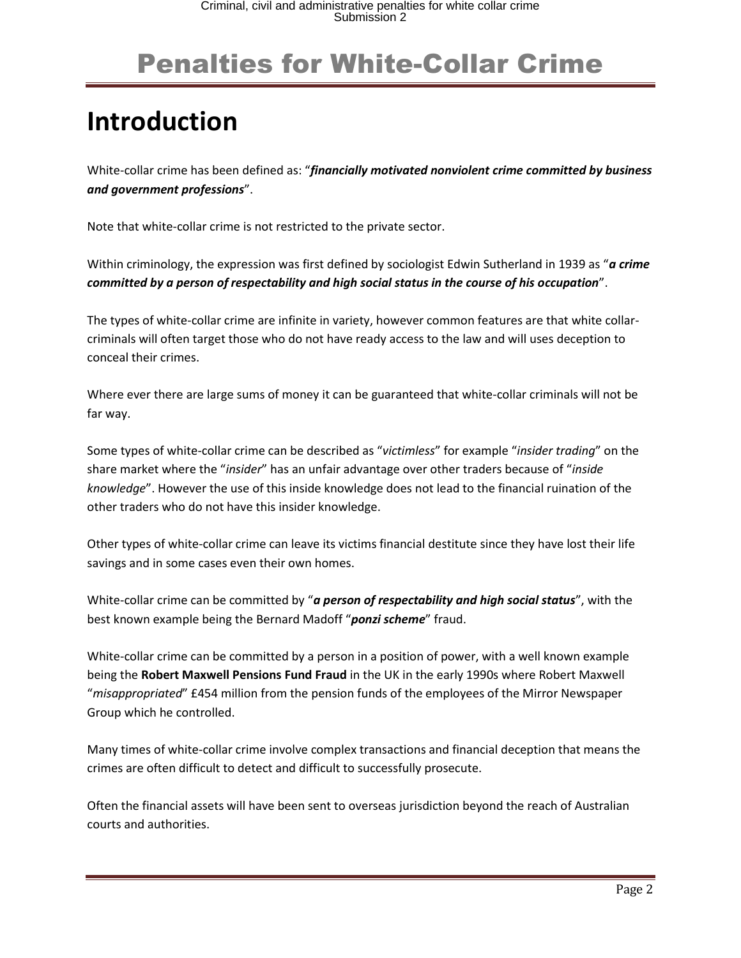# **Introduction**

White-collar crime has been defined as: "*financially motivated nonviolent crime committed by business and government professions*".

Note that white-collar crime is not restricted to the private sector.

Within criminology, the expression was first defined by sociologist Edwin Sutherland in 1939 as "*a crime committed by a person of respectability and high social status in the course of his occupation*".

The types of white-collar crime are infinite in variety, however common features are that white collarcriminals will often target those who do not have ready access to the law and will uses deception to conceal their crimes.

Where ever there are large sums of money it can be guaranteed that white-collar criminals will not be far way.

Some types of white-collar crime can be described as "*victimless*" for example "*insider trading*" on the share market where the "*insider*" has an unfair advantage over other traders because of "*inside knowledge*". However the use of this inside knowledge does not lead to the financial ruination of the other traders who do not have this insider knowledge.

Other types of white-collar crime can leave its victims financial destitute since they have lost their life savings and in some cases even their own homes.

White-collar crime can be committed by "*a person of respectability and high social status*", with the best known example being the Bernard Madoff "*ponzi scheme*" fraud.

White-collar crime can be committed by a person in a position of power, with a well known example being the **Robert Maxwell Pensions Fund Fraud** in the UK in the early 1990s where Robert Maxwell "*misappropriated*" £454 million from the pension funds of the employees of the Mirror Newspaper Group which he controlled.

Many times of white-collar crime involve complex transactions and financial deception that means the crimes are often difficult to detect and difficult to successfully prosecute.

Often the financial assets will have been sent to overseas jurisdiction beyond the reach of Australian courts and authorities.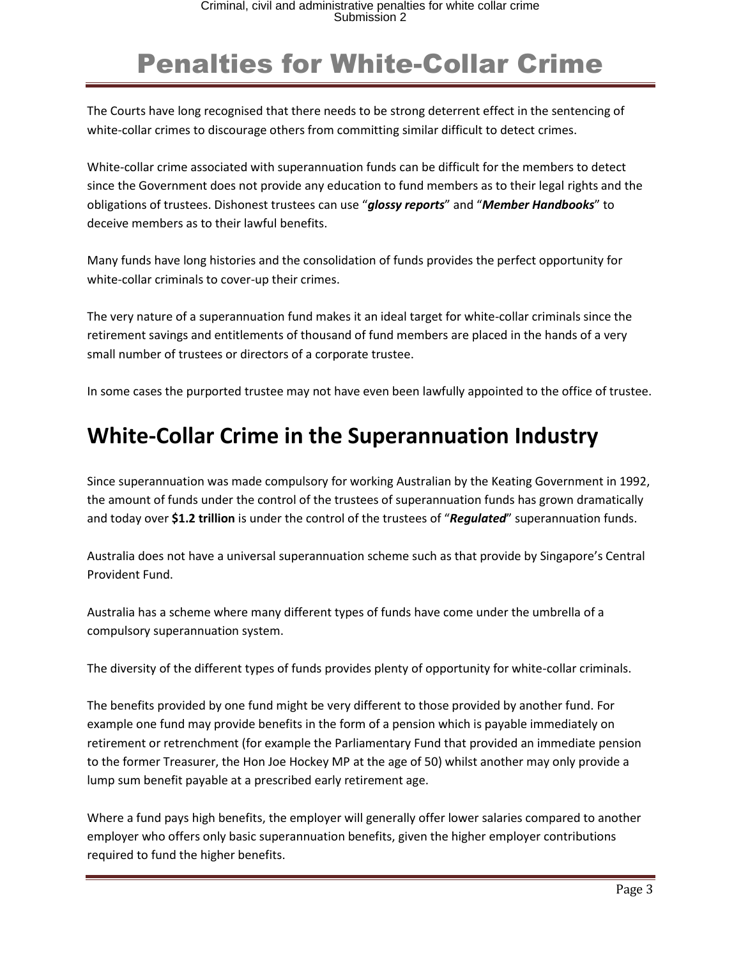The Courts have long recognised that there needs to be strong deterrent effect in the sentencing of white-collar crimes to discourage others from committing similar difficult to detect crimes.

White-collar crime associated with superannuation funds can be difficult for the members to detect since the Government does not provide any education to fund members as to their legal rights and the obligations of trustees. Dishonest trustees can use "*glossy reports*" and "*Member Handbooks*" to deceive members as to their lawful benefits.

Many funds have long histories and the consolidation of funds provides the perfect opportunity for white-collar criminals to cover-up their crimes.

The very nature of a superannuation fund makes it an ideal target for white-collar criminals since the retirement savings and entitlements of thousand of fund members are placed in the hands of a very small number of trustees or directors of a corporate trustee.

In some cases the purported trustee may not have even been lawfully appointed to the office of trustee.

#### **White-Collar Crime in the Superannuation Industry**

Since superannuation was made compulsory for working Australian by the Keating Government in 1992, the amount of funds under the control of the trustees of superannuation funds has grown dramatically and today over **\$1.2 trillion** is under the control of the trustees of "*Regulated*" superannuation funds.

Australia does not have a universal superannuation scheme such as that provide by Singapore's Central Provident Fund.

Australia has a scheme where many different types of funds have come under the umbrella of a compulsory superannuation system.

The diversity of the different types of funds provides plenty of opportunity for white-collar criminals.

The benefits provided by one fund might be very different to those provided by another fund. For example one fund may provide benefits in the form of a pension which is payable immediately on retirement or retrenchment (for example the Parliamentary Fund that provided an immediate pension to the former Treasurer, the Hon Joe Hockey MP at the age of 50) whilst another may only provide a lump sum benefit payable at a prescribed early retirement age.

Where a fund pays high benefits, the employer will generally offer lower salaries compared to another employer who offers only basic superannuation benefits, given the higher employer contributions required to fund the higher benefits.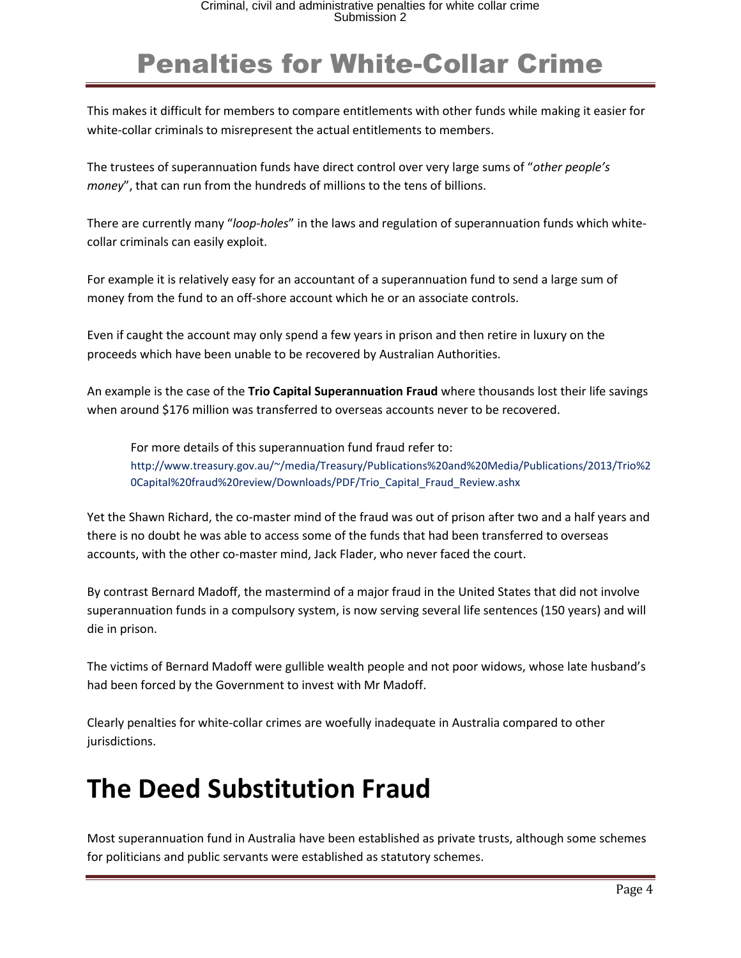This makes it difficult for members to compare entitlements with other funds while making it easier for white-collar criminals to misrepresent the actual entitlements to members.

The trustees of superannuation funds have direct control over very large sums of "*other people's money*", that can run from the hundreds of millions to the tens of billions.

There are currently many "*loop-holes*" in the laws and regulation of superannuation funds which whitecollar criminals can easily exploit.

For example it is relatively easy for an accountant of a superannuation fund to send a large sum of money from the fund to an off-shore account which he or an associate controls.

Even if caught the account may only spend a few years in prison and then retire in luxury on the proceeds which have been unable to be recovered by Australian Authorities.

An example is the case of the **Trio Capital Superannuation Fraud** where thousands lost their life savings when around \$176 million was transferred to overseas accounts never to be recovered.

For more details of this superannuation fund fraud refer to: http://www.treasury.gov.au/~/media/Treasury/Publications%20and%20Media/Publications/2013/Trio%2 0Capital%20fraud%20review/Downloads/PDF/Trio\_Capital\_Fraud\_Review.ashx

Yet the Shawn Richard, the co-master mind of the fraud was out of prison after two and a half years and there is no doubt he was able to access some of the funds that had been transferred to overseas accounts, with the other co-master mind, Jack Flader, who never faced the court.

By contrast Bernard Madoff, the mastermind of a major fraud in the United States that did not involve superannuation funds in a compulsory system, is now serving several life sentences (150 years) and will die in prison.

The victims of Bernard Madoff were gullible wealth people and not poor widows, whose late husband's had been forced by the Government to invest with Mr Madoff.

Clearly penalties for white-collar crimes are woefully inadequate in Australia compared to other jurisdictions.

#### **The Deed Substitution Fraud**

Most superannuation fund in Australia have been established as private trusts, although some schemes for politicians and public servants were established as statutory schemes.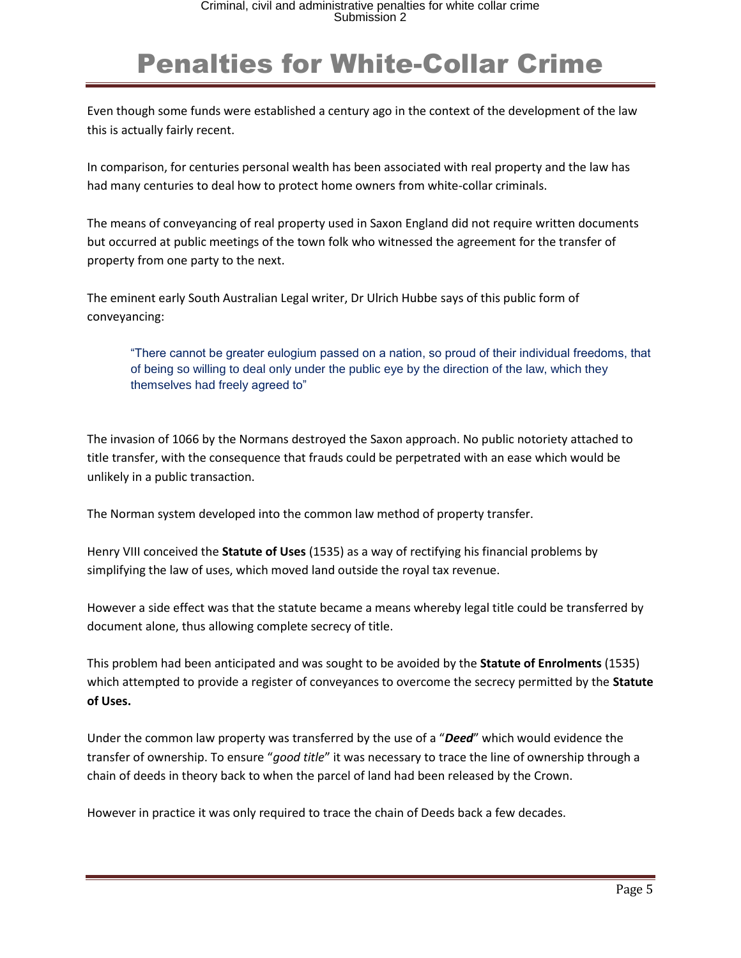Even though some funds were established a century ago in the context of the development of the law this is actually fairly recent.

In comparison, for centuries personal wealth has been associated with real property and the law has had many centuries to deal how to protect home owners from white-collar criminals.

The means of conveyancing of real property used in Saxon England did not require written documents but occurred at public meetings of the town folk who witnessed the agreement for the transfer of property from one party to the next.

The eminent early South Australian Legal writer, Dr Ulrich Hubbe says of this public form of conveyancing:

"There cannot be greater eulogium passed on a nation, so proud of their individual freedoms, that of being so willing to deal only under the public eye by the direction of the law, which they themselves had freely agreed to"

The invasion of 1066 by the Normans destroyed the Saxon approach. No public notoriety attached to title transfer, with the consequence that frauds could be perpetrated with an ease which would be unlikely in a public transaction.

The Norman system developed into the common law method of property transfer.

Henry VIII conceived the **Statute of Uses** (1535) as a way of rectifying his financial problems by simplifying the law of uses, which moved land outside the royal tax revenue.

However a side effect was that the statute became a means whereby legal title could be transferred by document alone, thus allowing complete secrecy of title.

This problem had been anticipated and was sought to be avoided by the **Statute of Enrolments** (1535) which attempted to provide a register of conveyances to overcome the secrecy permitted by the **Statute of Uses.**

Under the common law property was transferred by the use of a "*Deed*" which would evidence the transfer of ownership. To ensure "*good title*" it was necessary to trace the line of ownership through a chain of deeds in theory back to when the parcel of land had been released by the Crown.

However in practice it was only required to trace the chain of Deeds back a few decades.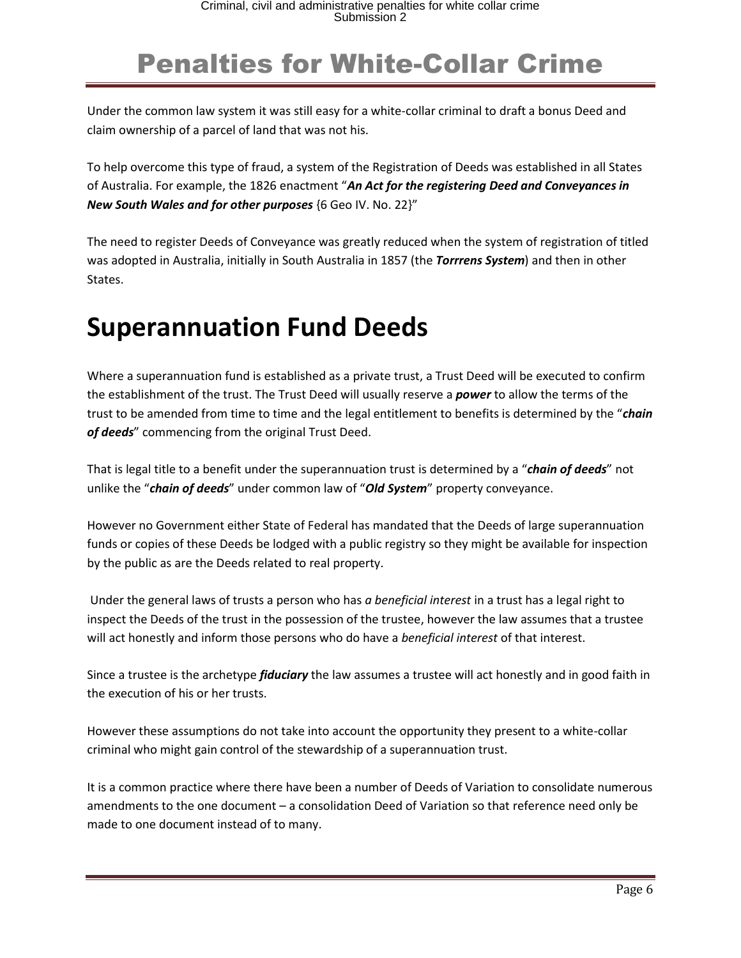Under the common law system it was still easy for a white-collar criminal to draft a bonus Deed and claim ownership of a parcel of land that was not his.

To help overcome this type of fraud, a system of the Registration of Deeds was established in all States of Australia. For example, the 1826 enactment "*An Act for the registering Deed and Conveyances in New South Wales and for other purposes* {6 Geo IV. No. 22}"

The need to register Deeds of Conveyance was greatly reduced when the system of registration of titled was adopted in Australia, initially in South Australia in 1857 (the *Torrrens System*) and then in other States.

#### **Superannuation Fund Deeds**

Where a superannuation fund is established as a private trust, a Trust Deed will be executed to confirm the establishment of the trust. The Trust Deed will usually reserve a *power* to allow the terms of the trust to be amended from time to time and the legal entitlement to benefits is determined by the "*chain of deeds*" commencing from the original Trust Deed.

That is legal title to a benefit under the superannuation trust is determined by a "*chain of deeds*" not unlike the "*chain of deeds*" under common law of "*Old System*" property conveyance.

However no Government either State of Federal has mandated that the Deeds of large superannuation funds or copies of these Deeds be lodged with a public registry so they might be available for inspection by the public as are the Deeds related to real property.

Under the general laws of trusts a person who has *a beneficial interest* in a trust has a legal right to inspect the Deeds of the trust in the possession of the trustee, however the law assumes that a trustee will act honestly and inform those persons who do have a *beneficial interest* of that interest.

Since a trustee is the archetype *fiduciary* the law assumes a trustee will act honestly and in good faith in the execution of his or her trusts.

However these assumptions do not take into account the opportunity they present to a white-collar criminal who might gain control of the stewardship of a superannuation trust.

It is a common practice where there have been a number of Deeds of Variation to consolidate numerous amendments to the one document – a consolidation Deed of Variation so that reference need only be made to one document instead of to many.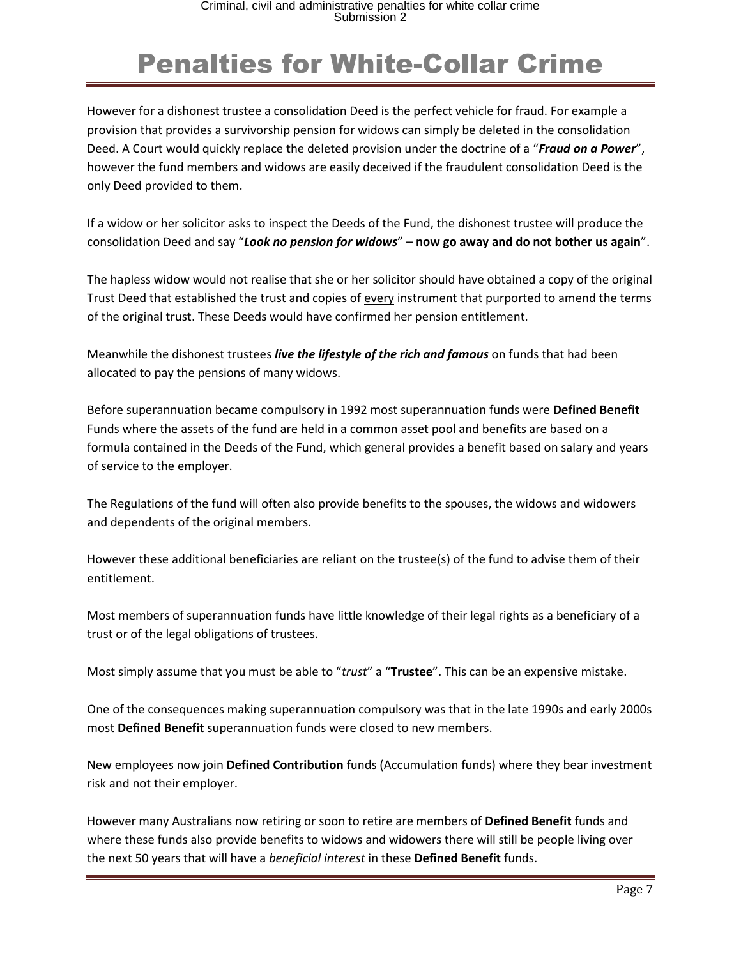However for a dishonest trustee a consolidation Deed is the perfect vehicle for fraud. For example a provision that provides a survivorship pension for widows can simply be deleted in the consolidation Deed. A Court would quickly replace the deleted provision under the doctrine of a "*Fraud on a Power*", however the fund members and widows are easily deceived if the fraudulent consolidation Deed is the only Deed provided to them.

If a widow or her solicitor asks to inspect the Deeds of the Fund, the dishonest trustee will produce the consolidation Deed and say "*Look no pension for widows*" – **now go away and do not bother us again**".

The hapless widow would not realise that she or her solicitor should have obtained a copy of the original Trust Deed that established the trust and copies of every instrument that purported to amend the terms of the original trust. These Deeds would have confirmed her pension entitlement.

Meanwhile the dishonest trustees *live the lifestyle of the rich and famous* on funds that had been allocated to pay the pensions of many widows.

Before superannuation became compulsory in 1992 most superannuation funds were **Defined Benefit** Funds where the assets of the fund are held in a common asset pool and benefits are based on a formula contained in the Deeds of the Fund, which general provides a benefit based on salary and years of service to the employer.

The Regulations of the fund will often also provide benefits to the spouses, the widows and widowers and dependents of the original members.

However these additional beneficiaries are reliant on the trustee(s) of the fund to advise them of their entitlement.

Most members of superannuation funds have little knowledge of their legal rights as a beneficiary of a trust or of the legal obligations of trustees.

Most simply assume that you must be able to "*trust*" a "**Trustee**". This can be an expensive mistake.

One of the consequences making superannuation compulsory was that in the late 1990s and early 2000s most **Defined Benefit** superannuation funds were closed to new members.

New employees now join **Defined Contribution** funds (Accumulation funds) where they bear investment risk and not their employer.

However many Australians now retiring or soon to retire are members of **Defined Benefit** funds and where these funds also provide benefits to widows and widowers there will still be people living over the next 50 years that will have a *beneficial interest* in these **Defined Benefit** funds.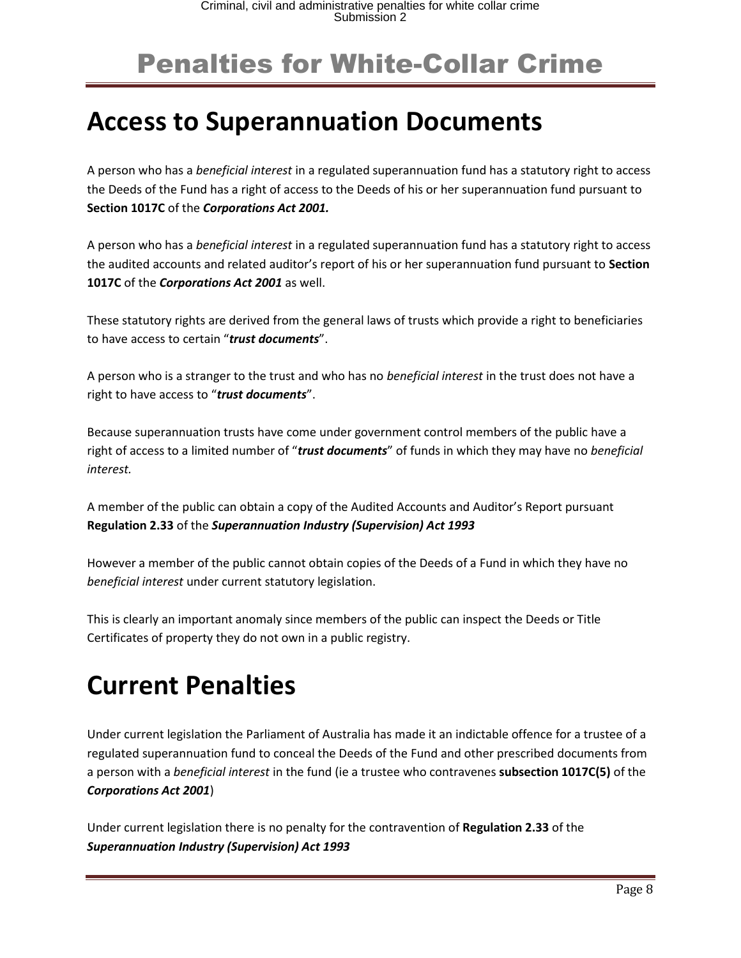#### **Access to Superannuation Documents**

A person who has a *beneficial interest* in a regulated superannuation fund has a statutory right to access the Deeds of the Fund has a right of access to the Deeds of his or her superannuation fund pursuant to **Section 1017C** of the *Corporations Act 2001.*

A person who has a *beneficial interest* in a regulated superannuation fund has a statutory right to access the audited accounts and related auditor's report of his or her superannuation fund pursuant to **Section 1017C** of the *Corporations Act 2001* as well.

These statutory rights are derived from the general laws of trusts which provide a right to beneficiaries to have access to certain "*trust documents*".

A person who is a stranger to the trust and who has no *beneficial interest* in the trust does not have a right to have access to "*trust documents*".

Because superannuation trusts have come under government control members of the public have a right of access to a limited number of "*trust documents*" of funds in which they may have no *beneficial interest.*

A member of the public can obtain a copy of the Audited Accounts and Auditor's Report pursuant **Regulation 2.33** of the *Superannuation Industry (Supervision) Act 1993*

However a member of the public cannot obtain copies of the Deeds of a Fund in which they have no *beneficial interest* under current statutory legislation.

This is clearly an important anomaly since members of the public can inspect the Deeds or Title Certificates of property they do not own in a public registry.

## **Current Penalties**

Under current legislation the Parliament of Australia has made it an indictable offence for a trustee of a regulated superannuation fund to conceal the Deeds of the Fund and other prescribed documents from a person with a *beneficial interest* in the fund (ie a trustee who contravenes **subsection 1017C(5)** of the *Corporations Act 2001*)

Under current legislation there is no penalty for the contravention of **Regulation 2.33** of the *Superannuation Industry (Supervision) Act 1993*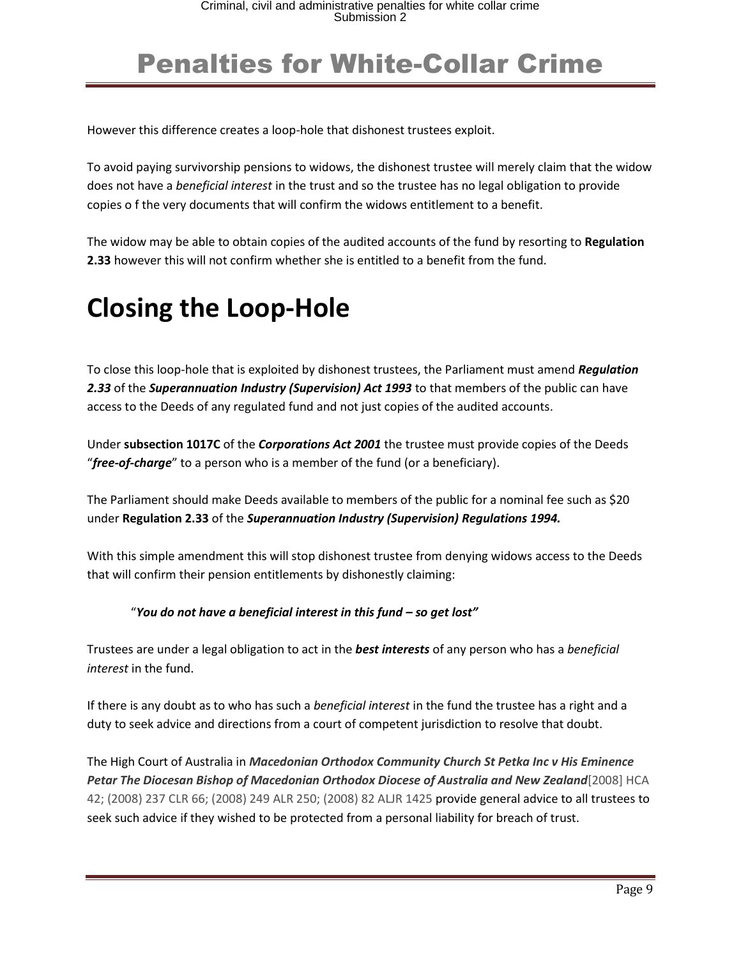However this difference creates a loop-hole that dishonest trustees exploit.

To avoid paying survivorship pensions to widows, the dishonest trustee will merely claim that the widow does not have a *beneficial interest* in the trust and so the trustee has no legal obligation to provide copies o f the very documents that will confirm the widows entitlement to a benefit.

The widow may be able to obtain copies of the audited accounts of the fund by resorting to **Regulation 2.33** however this will not confirm whether she is entitled to a benefit from the fund.

#### **Closing the Loop-Hole**

To close this loop-hole that is exploited by dishonest trustees, the Parliament must amend *Regulation 2.33* of the *Superannuation Industry (Supervision) Act 1993* to that members of the public can have access to the Deeds of any regulated fund and not just copies of the audited accounts.

Under **subsection 1017C** of the *Corporations Act 2001* the trustee must provide copies of the Deeds "*free-of-charge*" to a person who is a member of the fund (or a beneficiary).

The Parliament should make Deeds available to members of the public for a nominal fee such as \$20 under **Regulation 2.33** of the *Superannuation Industry (Supervision) Regulations 1994.*

With this simple amendment this will stop dishonest trustee from denying widows access to the Deeds that will confirm their pension entitlements by dishonestly claiming:

#### "*You do not have a beneficial interest in this fund – so get lost"*

Trustees are under a legal obligation to act in the *best interests* of any person who has a *beneficial interest* in the fund.

If there is any doubt as to who has such a *beneficial interest* in the fund the trustee has a right and a duty to seek advice and directions from a court of competent jurisdiction to resolve that doubt.

The High Court of Australia in *Macedonian Orthodox Community Church St Petka Inc v His Eminence Petar The Diocesan Bishop of Macedonian Orthodox Diocese of Australia and New Zealand*[2008] HCA 42; (2008) 237 CLR 66; (2008) 249 ALR 250; (2008) 82 ALJR 1425 provide general advice to all trustees to seek such advice if they wished to be protected from a personal liability for breach of trust.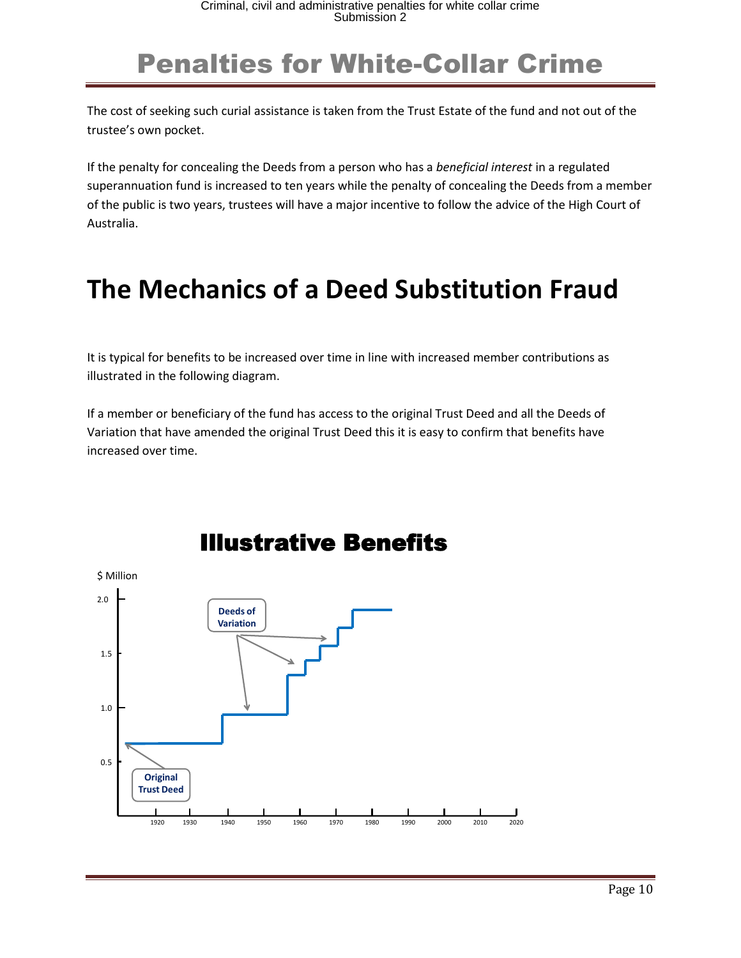The cost of seeking such curial assistance is taken from the Trust Estate of the fund and not out of the trustee's own pocket.

If the penalty for concealing the Deeds from a person who has a *beneficial interest* in a regulated superannuation fund is increased to ten years while the penalty of concealing the Deeds from a member of the public is two years, trustees will have a major incentive to follow the advice of the High Court of Australia.

#### **The Mechanics of a Deed Substitution Fraud**

It is typical for benefits to be increased over time in line with increased member contributions as illustrated in the following diagram.

If a member or beneficiary of the fund has access to the original Trust Deed and all the Deeds of Variation that have amended the original Trust Deed this it is easy to confirm that benefits have increased over time.



#### Illustrative Benefits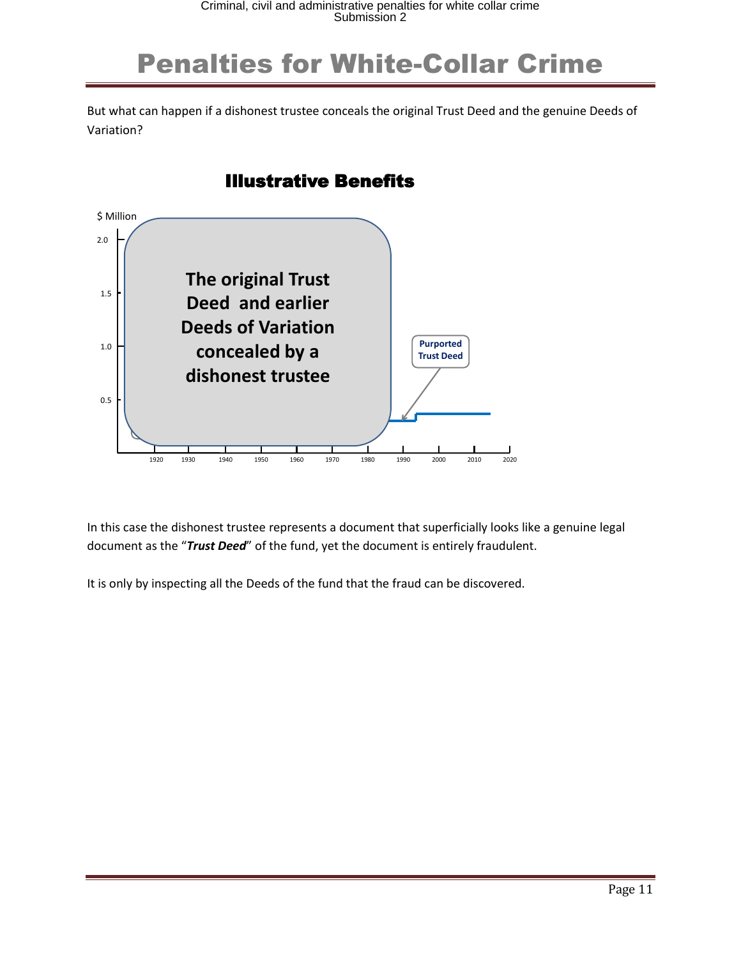But what can happen if a dishonest trustee conceals the original Trust Deed and the genuine Deeds of Variation?

#### 1920 1930 1940 1950 1960 1970 1980 1990 2000 2010 2020 \$ Million 2.0 0.5 1.5 1.0 Illustrative Benefits **The original Trust Deed and earlier Deeds of Variation concealed by a dishonest trustee Purported Trust Deed**

In this case the dishonest trustee represents a document that superficially looks like a genuine legal document as the "*Trust Deed*" of the fund, yet the document is entirely fraudulent.

It is only by inspecting all the Deeds of the fund that the fraud can be discovered.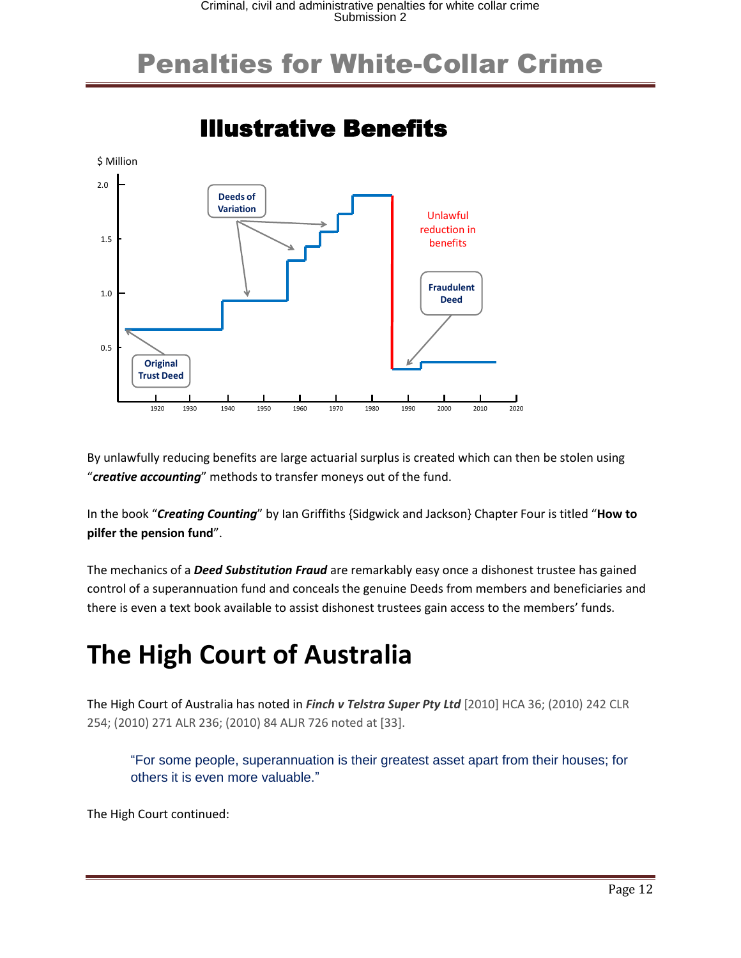

By unlawfully reducing benefits are large actuarial surplus is created which can then be stolen using "*creative accounting*" methods to transfer moneys out of the fund.

In the book "*Creating Counting*" by Ian Griffiths {Sidgwick and Jackson} Chapter Four is titled "**How to pilfer the pension fund**".

The mechanics of a *Deed Substitution Fraud* are remarkably easy once a dishonest trustee has gained control of a superannuation fund and conceals the genuine Deeds from members and beneficiaries and there is even a text book available to assist dishonest trustees gain access to the members' funds.

## **The High Court of Australia**

The High Court of Australia has noted in *Finch v Telstra Super Pty Ltd* [2010] HCA 36; (2010) 242 CLR 254; (2010) 271 ALR 236; (2010) 84 ALJR 726 noted at [33].

"For some people, superannuation is their greatest asset apart from their houses; for others it is even more valuable."

The High Court continued: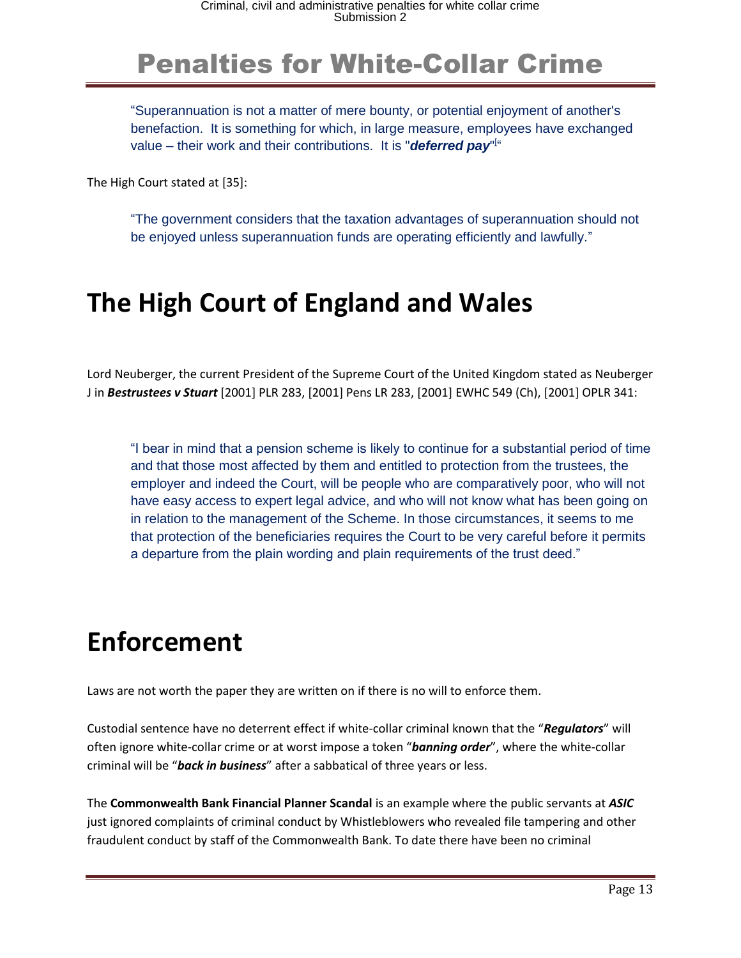"Superannuation is not a matter of mere bounty, or potential enjoyment of another's benefaction. It is something for which, in large measure, employees have exchanged value – their work and their contributions. It is ["](https://jade.barnet.com.au/Jade.html#_ftn21)**deferred pay**"<sup>["</sup>

The High Court stated at [35]:

"The government considers that the taxation advantages of superannuation should not be enjoyed unless superannuation funds are operating efficiently and lawfully."

#### **The High Court of England and Wales**

Lord Neuberger, the current President of the Supreme Court of the United Kingdom stated as Neuberger J in *Bestrustees v Stuart* [2001] PLR 283, [2001] Pens LR 283, [2001] EWHC 549 (Ch), [2001] OPLR 341:

"I bear in mind that a pension scheme is likely to continue for a substantial period of time and that those most affected by them and entitled to protection from the trustees, the employer and indeed the Court, will be people who are comparatively poor, who will not have easy access to expert legal advice, and who will not know what has been going on in relation to the management of the Scheme. In those circumstances, it seems to me that protection of the beneficiaries requires the Court to be very careful before it permits a departure from the plain wording and plain requirements of the trust deed."

#### **Enforcement**

Laws are not worth the paper they are written on if there is no will to enforce them.

Custodial sentence have no deterrent effect if white-collar criminal known that the "*Regulators*" will often ignore white-collar crime or at worst impose a token "*banning order*", where the white-collar criminal will be "*back in business*" after a sabbatical of three years or less.

The **Commonwealth Bank Financial Planner Scandal** is an example where the public servants at *ASIC*  just ignored complaints of criminal conduct by Whistleblowers who revealed file tampering and other fraudulent conduct by staff of the Commonwealth Bank. To date there have been no criminal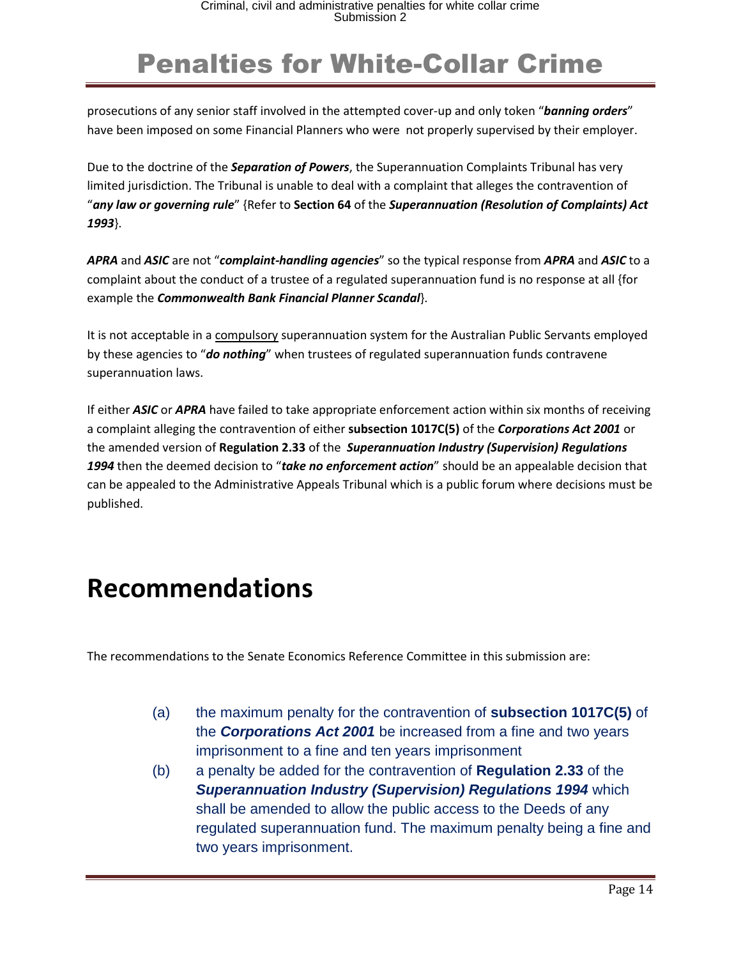prosecutions of any senior staff involved in the attempted cover-up and only token "*banning orders*" have been imposed on some Financial Planners who were not properly supervised by their employer.

Due to the doctrine of the *Separation of Powers*, the Superannuation Complaints Tribunal has very limited jurisdiction. The Tribunal is unable to deal with a complaint that alleges the contravention of "*any law or governing rule*" {Refer to **Section 64** of the *Superannuation (Resolution of Complaints) Act 1993*}.

*APRA* and *ASIC* are not "*complaint-handling agencies*" so the typical response from *APRA* and *ASIC* to a complaint about the conduct of a trustee of a regulated superannuation fund is no response at all {for example the *Commonwealth Bank Financial Planner Scandal*}.

It is not acceptable in a compulsory superannuation system for the Australian Public Servants employed by these agencies to "*do nothing*" when trustees of regulated superannuation funds contravene superannuation laws.

If either *ASIC* or *APRA* have failed to take appropriate enforcement action within six months of receiving a complaint alleging the contravention of either **subsection 1017C(5)** of the *Corporations Act 2001* or the amended version of **Regulation 2.33** of the *Superannuation Industry (Supervision) Regulations 1994* then the deemed decision to "*take no enforcement action*" should be an appealable decision that can be appealed to the Administrative Appeals Tribunal which is a public forum where decisions must be published.

#### **Recommendations**

The recommendations to the Senate Economics Reference Committee in this submission are:

- (a) the maximum penalty for the contravention of **subsection 1017C(5)** of the *Corporations Act 2001* be increased from a fine and two years imprisonment to a fine and ten years imprisonment
- (b) a penalty be added for the contravention of **Regulation 2.33** of the *Superannuation Industry (Supervision) Regulations 1994* which shall be amended to allow the public access to the Deeds of any regulated superannuation fund. The maximum penalty being a fine and two years imprisonment.